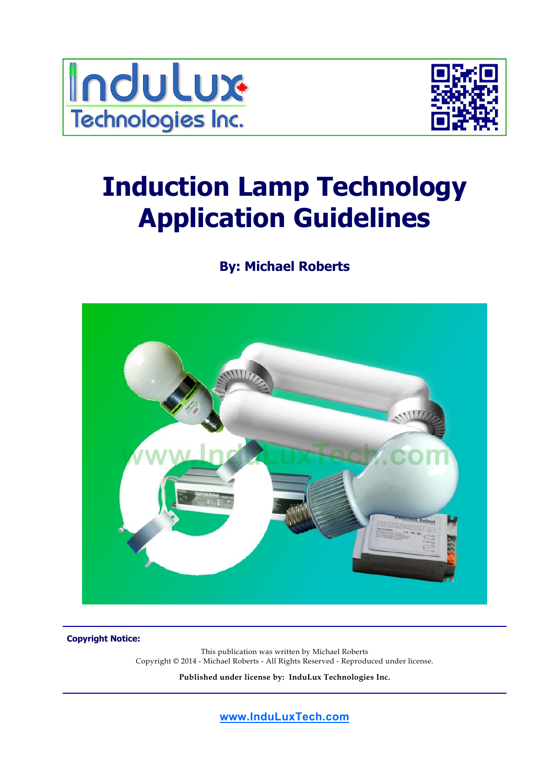



# **Induction Lamp Technology Application Guidelines**

# **By: Michael Roberts**



**Copyright Notice:** 

This publication was written by Michael Roberts Copyright © 2014 - Michael Roberts - All Rights Reserved - Reproduced under license.

**Published under license by: InduLux Technologies Inc.**

**www.InduLuxTech.com**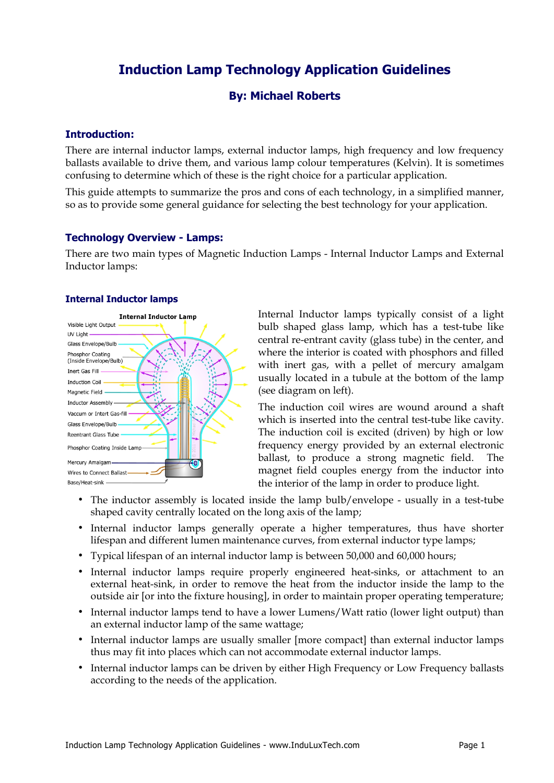# **Induction Lamp Technology Application Guidelines**

# **By: Michael Roberts**

## **Introduction:**

There are internal inductor lamps, external inductor lamps, high frequency and low frequency ballasts available to drive them, and various lamp colour temperatures (Kelvin). It is sometimes confusing to determine which of these is the right choice for a particular application.

This guide attempts to summarize the pros and cons of each technology, in a simplified manner, so as to provide some general guidance for selecting the best technology for your application.

#### **Technology Overview - Lamps:**

There are two main types of Magnetic Induction Lamps - Internal Inductor Lamps and External Inductor lamps:

#### **Internal Inductor lamps**



Internal Inductor lamps typically consist of a light bulb shaped glass lamp, which has a test-tube like central re-entrant cavity (glass tube) in the center, and where the interior is coated with phosphors and filled with inert gas, with a pellet of mercury amalgam usually located in a tubule at the bottom of the lamp (see diagram on left).

The induction coil wires are wound around a shaft which is inserted into the central test-tube like cavity. The induction coil is excited (driven) by high or low frequency energy provided by an external electronic ballast, to produce a strong magnetic field. The magnet field couples energy from the inductor into the interior of the lamp in order to produce light.

- The inductor assembly is located inside the lamp bulb/envelope usually in a test-tube shaped cavity centrally located on the long axis of the lamp;
- Internal inductor lamps generally operate a higher temperatures, thus have shorter lifespan and different lumen maintenance curves, from external inductor type lamps;
- Typical lifespan of an internal inductor lamp is between 50,000 and 60,000 hours;
- Internal inductor lamps require properly engineered heat-sinks, or attachment to an external heat-sink, in order to remove the heat from the inductor inside the lamp to the outside air [or into the fixture housing], in order to maintain proper operating temperature;
- Internal inductor lamps tend to have a lower Lumens/Watt ratio (lower light output) than an external inductor lamp of the same wattage;
- Internal inductor lamps are usually smaller [more compact] than external inductor lamps thus may fit into places which can not accommodate external inductor lamps.
- Internal inductor lamps can be driven by either High Frequency or Low Frequency ballasts according to the needs of the application.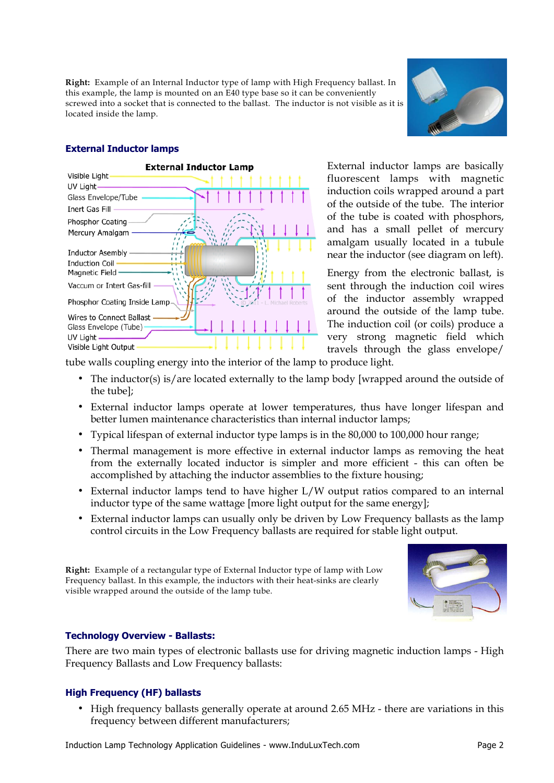**Right:** Example of an Internal Inductor type of lamp with High Frequency ballast. In this example, the lamp is mounted on an E40 type base so it can be conveniently screwed into a socket that is connected to the ballast. The inductor is not visible as it is located inside the lamp.



#### **External Inductor lamps**



External inductor lamps are basically fluorescent lamps with magnetic induction coils wrapped around a part of the outside of the tube. The interior of the tube is coated with phosphors, and has a small pellet of mercury amalgam usually located in a tubule near the inductor (see diagram on left).

Energy from the electronic ballast, is sent through the induction coil wires of the inductor assembly wrapped around the outside of the lamp tube. The induction coil (or coils) produce a very strong magnetic field which travels through the glass envelope/

tube walls coupling energy into the interior of the lamp to produce light.

- The inductor(s) is/are located externally to the lamp body [wrapped around the outside of the tube];
- External inductor lamps operate at lower temperatures, thus have longer lifespan and better lumen maintenance characteristics than internal inductor lamps;
- Typical lifespan of external inductor type lamps is in the 80,000 to 100,000 hour range;
- Thermal management is more effective in external inductor lamps as removing the heat from the externally located inductor is simpler and more efficient - this can often be accomplished by attaching the inductor assemblies to the fixture housing;
- External inductor lamps tend to have higher L/W output ratios compared to an internal inductor type of the same wattage [more light output for the same energy];
- External inductor lamps can usually only be driven by Low Frequency ballasts as the lamp control circuits in the Low Frequency ballasts are required for stable light output.

**Right:** Example of a rectangular type of External Inductor type of lamp with Low Frequency ballast. In this example, the inductors with their heat-sinks are clearly visible wrapped around the outside of the lamp tube.



#### **Technology Overview - Ballasts:**

There are two main types of electronic ballasts use for driving magnetic induction lamps - High Frequency Ballasts and Low Frequency ballasts:

## **High Frequency (HF) ballasts**

• High frequency ballasts generally operate at around 2.65 MHz - there are variations in this frequency between different manufacturers;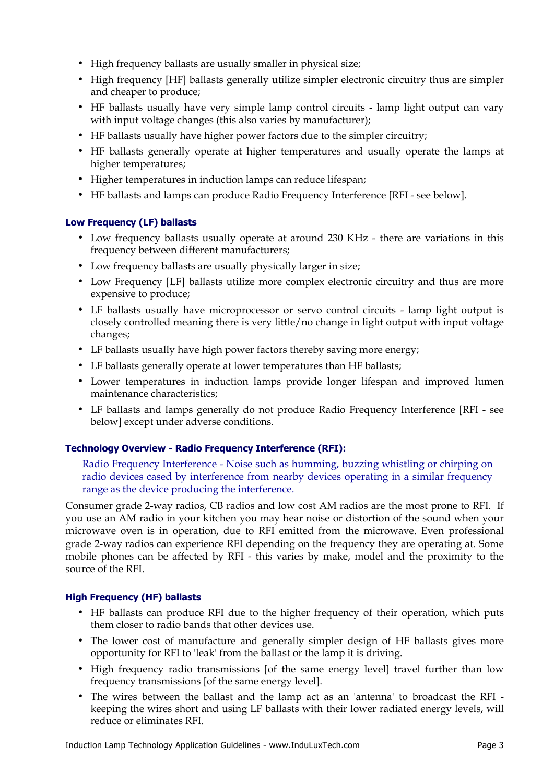- High frequency ballasts are usually smaller in physical size;
- High frequency [HF] ballasts generally utilize simpler electronic circuitry thus are simpler and cheaper to produce;
- HF ballasts usually have very simple lamp control circuits lamp light output can vary with input voltage changes (this also varies by manufacturer);
- HF ballasts usually have higher power factors due to the simpler circuitry;
- HF ballasts generally operate at higher temperatures and usually operate the lamps at higher temperatures;
- Higher temperatures in induction lamps can reduce lifespan;
- HF ballasts and lamps can produce Radio Frequency Interference [RFI see below].

## **Low Frequency (LF) ballasts**

- Low frequency ballasts usually operate at around 230 KHz there are variations in this frequency between different manufacturers;
- Low frequency ballasts are usually physically larger in size;
- Low Frequency [LF] ballasts utilize more complex electronic circuitry and thus are more expensive to produce;
- LF ballasts usually have microprocessor or servo control circuits lamp light output is closely controlled meaning there is very little/no change in light output with input voltage changes;
- LF ballasts usually have high power factors thereby saving more energy;
- LF ballasts generally operate at lower temperatures than HF ballasts;
- Lower temperatures in induction lamps provide longer lifespan and improved lumen maintenance characteristics;
- LF ballasts and lamps generally do not produce Radio Frequency Interference [RFI see below] except under adverse conditions.

## **Technology Overview - Radio Frequency Interference (RFI):**

Radio Frequency Interference - Noise such as humming, buzzing whistling or chirping on radio devices cased by interference from nearby devices operating in a similar frequency range as the device producing the interference.

Consumer grade 2-way radios, CB radios and low cost AM radios are the most prone to RFI. If you use an AM radio in your kitchen you may hear noise or distortion of the sound when your microwave oven is in operation, due to RFI emitted from the microwave. Even professional grade 2-way radios can experience RFI depending on the frequency they are operating at. Some mobile phones can be affected by RFI - this varies by make, model and the proximity to the source of the RFI.

## **High Frequency (HF) ballasts**

- HF ballasts can produce RFI due to the higher frequency of their operation, which puts them closer to radio bands that other devices use.
- The lower cost of manufacture and generally simpler design of HF ballasts gives more opportunity for RFI to 'leak' from the ballast or the lamp it is driving.
- High frequency radio transmissions [of the same energy level] travel further than low frequency transmissions [of the same energy level].
- The wires between the ballast and the lamp act as an 'antenna' to broadcast the RFI keeping the wires short and using LF ballasts with their lower radiated energy levels, will reduce or eliminates RFI.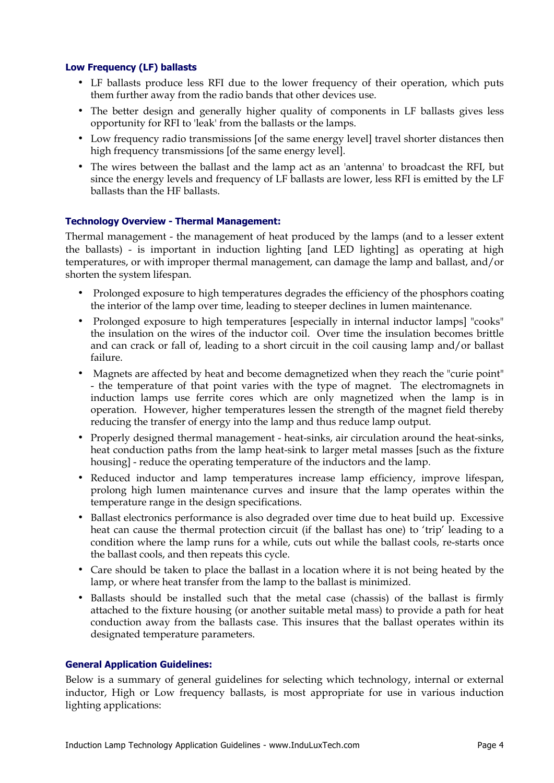#### **Low Frequency (LF) ballasts**

- LF ballasts produce less RFI due to the lower frequency of their operation, which puts them further away from the radio bands that other devices use.
- The better design and generally higher quality of components in LF ballasts gives less opportunity for RFI to 'leak' from the ballasts or the lamps.
- Low frequency radio transmissions [of the same energy level] travel shorter distances then high frequency transmissions [of the same energy level].
- The wires between the ballast and the lamp act as an 'antenna' to broadcast the RFI, but since the energy levels and frequency of LF ballasts are lower, less RFI is emitted by the LF ballasts than the HF ballasts.

#### **Technology Overview - Thermal Management:**

Thermal management - the management of heat produced by the lamps (and to a lesser extent the ballasts) - is important in induction lighting [and LED lighting] as operating at high temperatures, or with improper thermal management, can damage the lamp and ballast, and/or shorten the system lifespan.

- Prolonged exposure to high temperatures degrades the efficiency of the phosphors coating the interior of the lamp over time, leading to steeper declines in lumen maintenance.
- Prolonged exposure to high temperatures [especially in internal inductor lamps] "cooks" the insulation on the wires of the inductor coil. Over time the insulation becomes brittle and can crack or fall of, leading to a short circuit in the coil causing lamp and/or ballast failure.
- Magnets are affected by heat and become demagnetized when they reach the "curie point" - the temperature of that point varies with the type of magnet. The electromagnets in induction lamps use ferrite cores which are only magnetized when the lamp is in operation. However, higher temperatures lessen the strength of the magnet field thereby reducing the transfer of energy into the lamp and thus reduce lamp output.
- Properly designed thermal management heat-sinks, air circulation around the heat-sinks, heat conduction paths from the lamp heat-sink to larger metal masses [such as the fixture housing] - reduce the operating temperature of the inductors and the lamp.
- Reduced inductor and lamp temperatures increase lamp efficiency, improve lifespan, prolong high lumen maintenance curves and insure that the lamp operates within the temperature range in the design specifications.
- Ballast electronics performance is also degraded over time due to heat build up. Excessive heat can cause the thermal protection circuit (if the ballast has one) to 'trip' leading to a condition where the lamp runs for a while, cuts out while the ballast cools, re-starts once the ballast cools, and then repeats this cycle.
- Care should be taken to place the ballast in a location where it is not being heated by the lamp, or where heat transfer from the lamp to the ballast is minimized.
- Ballasts should be installed such that the metal case (chassis) of the ballast is firmly attached to the fixture housing (or another suitable metal mass) to provide a path for heat conduction away from the ballasts case. This insures that the ballast operates within its designated temperature parameters.

#### **General Application Guidelines:**

Below is a summary of general guidelines for selecting which technology, internal or external inductor, High or Low frequency ballasts, is most appropriate for use in various induction lighting applications: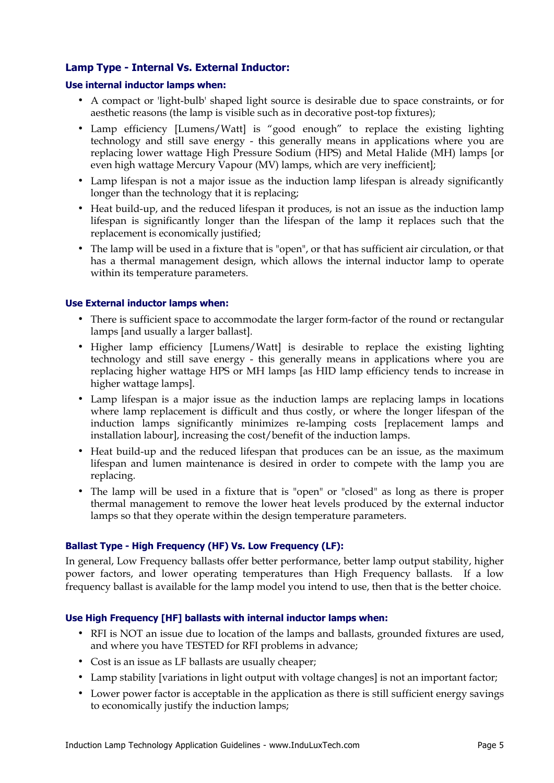# **Lamp Type - Internal Vs. External Inductor:**

#### **Use internal inductor lamps when:**

- A compact or 'light-bulb' shaped light source is desirable due to space constraints, or for aesthetic reasons (the lamp is visible such as in decorative post-top fixtures);
- Lamp efficiency [Lumens/Watt] is "good enough" to replace the existing lighting technology and still save energy - this generally means in applications where you are replacing lower wattage High Pressure Sodium (HPS) and Metal Halide (MH) lamps [or even high wattage Mercury Vapour (MV) lamps, which are very inefficient];
- Lamp lifespan is not a major issue as the induction lamp lifespan is already significantly longer than the technology that it is replacing;
- Heat build-up, and the reduced lifespan it produces, is not an issue as the induction lamp lifespan is significantly longer than the lifespan of the lamp it replaces such that the replacement is economically justified;
- The lamp will be used in a fixture that is "open", or that has sufficient air circulation, or that has a thermal management design, which allows the internal inductor lamp to operate within its temperature parameters.

## **Use External inductor lamps when:**

- There is sufficient space to accommodate the larger form-factor of the round or rectangular lamps [and usually a larger ballast].
- Higher lamp efficiency [Lumens/Watt] is desirable to replace the existing lighting technology and still save energy - this generally means in applications where you are replacing higher wattage HPS or MH lamps [as HID lamp efficiency tends to increase in higher wattage lamps].
- Lamp lifespan is a major issue as the induction lamps are replacing lamps in locations where lamp replacement is difficult and thus costly, or where the longer lifespan of the induction lamps significantly minimizes re-lamping costs [replacement lamps and installation labour], increasing the cost/benefit of the induction lamps.
- Heat build-up and the reduced lifespan that produces can be an issue, as the maximum lifespan and lumen maintenance is desired in order to compete with the lamp you are replacing.
- The lamp will be used in a fixture that is "open" or "closed" as long as there is proper thermal management to remove the lower heat levels produced by the external inductor lamps so that they operate within the design temperature parameters.

## **Ballast Type - High Frequency (HF) Vs. Low Frequency (LF):**

In general, Low Frequency ballasts offer better performance, better lamp output stability, higher power factors, and lower operating temperatures than High Frequency ballasts. If a low frequency ballast is available for the lamp model you intend to use, then that is the better choice.

#### **Use High Frequency [HF] ballasts with internal inductor lamps when:**

- RFI is NOT an issue due to location of the lamps and ballasts, grounded fixtures are used, and where you have TESTED for RFI problems in advance;
- Cost is an issue as LF ballasts are usually cheaper;
- Lamp stability [variations in light output with voltage changes] is not an important factor;
- Lower power factor is acceptable in the application as there is still sufficient energy savings to economically justify the induction lamps;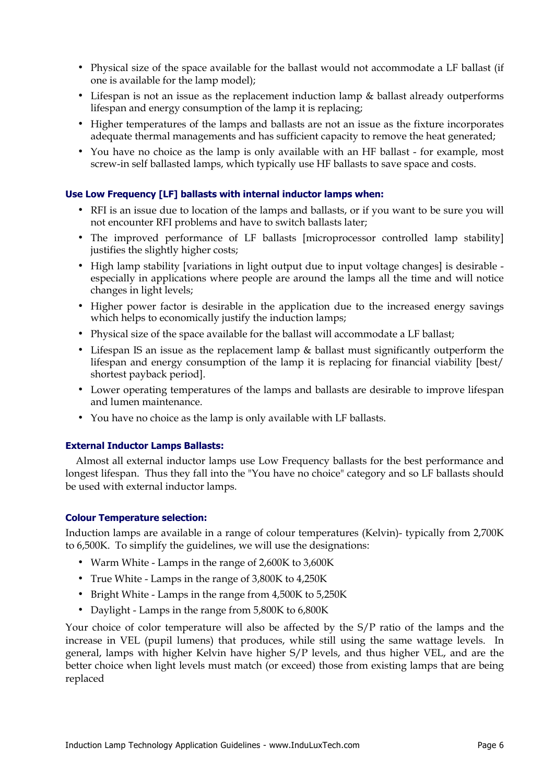- Physical size of the space available for the ballast would not accommodate a LF ballast (if one is available for the lamp model);
- Lifespan is not an issue as the replacement induction lamp & ballast already outperforms lifespan and energy consumption of the lamp it is replacing;
- Higher temperatures of the lamps and ballasts are not an issue as the fixture incorporates adequate thermal managements and has sufficient capacity to remove the heat generated;
- You have no choice as the lamp is only available with an HF ballast for example, most screw-in self ballasted lamps, which typically use HF ballasts to save space and costs.

#### **Use Low Frequency [LF] ballasts with internal inductor lamps when:**

- RFI is an issue due to location of the lamps and ballasts, or if you want to be sure you will not encounter RFI problems and have to switch ballasts later;
- The improved performance of LF ballasts [microprocessor controlled lamp stability] justifies the slightly higher costs;
- High lamp stability [variations in light output due to input voltage changes] is desirable especially in applications where people are around the lamps all the time and will notice changes in light levels;
- Higher power factor is desirable in the application due to the increased energy savings which helps to economically justify the induction lamps;
- Physical size of the space available for the ballast will accommodate a LF ballast;
- Lifespan IS an issue as the replacement lamp & ballast must significantly outperform the lifespan and energy consumption of the lamp it is replacing for financial viability [best/ shortest payback period].
- Lower operating temperatures of the lamps and ballasts are desirable to improve lifespan and lumen maintenance.
- You have no choice as the lamp is only available with LF ballasts.

#### **External Inductor Lamps Ballasts:**

 Almost all external inductor lamps use Low Frequency ballasts for the best performance and longest lifespan. Thus they fall into the "You have no choice" category and so LF ballasts should be used with external inductor lamps.

#### **Colour Temperature selection:**

Induction lamps are available in a range of colour temperatures (Kelvin)- typically from 2,700K to 6,500K. To simplify the guidelines, we will use the designations:

- Warm White Lamps in the range of 2,600K to 3,600K
- True White Lamps in the range of 3,800K to 4,250K
- Bright White Lamps in the range from 4,500K to 5,250K
- Daylight Lamps in the range from 5,800K to 6,800K

Your choice of color temperature will also be affected by the S/P ratio of the lamps and the increase in VEL (pupil lumens) that produces, while still using the same wattage levels. In general, lamps with higher Kelvin have higher S/P levels, and thus higher VEL, and are the better choice when light levels must match (or exceed) those from existing lamps that are being replaced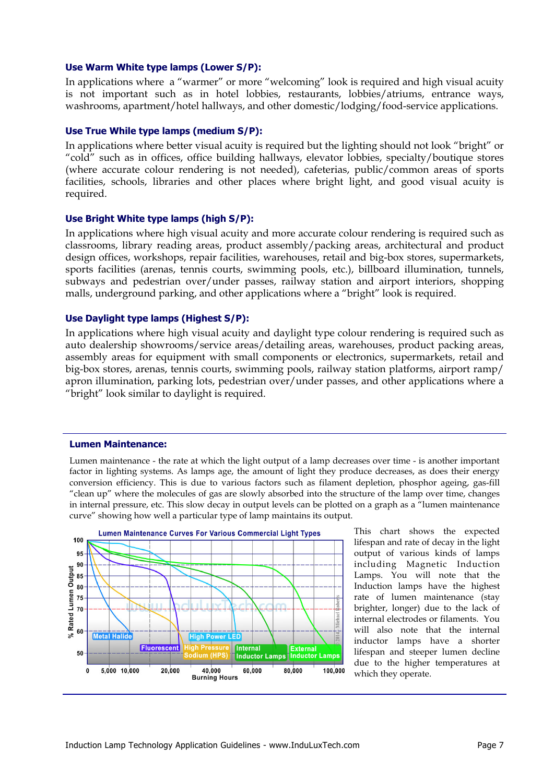#### **Use Warm White type lamps (Lower S/P):**

In applications where a "warmer" or more "welcoming" look is required and high visual acuity is not important such as in hotel lobbies, restaurants, lobbies/atriums, entrance ways, washrooms, apartment/hotel hallways, and other domestic/lodging/food-service applications.

#### **Use True While type lamps (medium S/P):**

In applications where better visual acuity is required but the lighting should not look "bright" or "cold" such as in offices, office building hallways, elevator lobbies, specialty/boutique stores (where accurate colour rendering is not needed), cafeterias, public/common areas of sports facilities, schools, libraries and other places where bright light, and good visual acuity is required.

#### **Use Bright White type lamps (high S/P):**

In applications where high visual acuity and more accurate colour rendering is required such as classrooms, library reading areas, product assembly/packing areas, architectural and product design offices, workshops, repair facilities, warehouses, retail and big-box stores, supermarkets, sports facilities (arenas, tennis courts, swimming pools, etc.), billboard illumination, tunnels, subways and pedestrian over/under passes, railway station and airport interiors, shopping malls, underground parking, and other applications where a "bright" look is required.

#### **Use Daylight type lamps (Highest S/P):**

In applications where high visual acuity and daylight type colour rendering is required such as auto dealership showrooms/service areas/detailing areas, warehouses, product packing areas, assembly areas for equipment with small components or electronics, supermarkets, retail and big-box stores, arenas, tennis courts, swimming pools, railway station platforms, airport ramp/ apron illumination, parking lots, pedestrian over/under passes, and other applications where a "bright" look similar to daylight is required.

#### **Lumen Maintenance:**

Lumen maintenance - the rate at which the light output of a lamp decreases over time - is another important factor in lighting systems. As lamps age, the amount of light they produce decreases, as does their energy conversion efficiency. This is due to various factors such as filament depletion, phosphor ageing, gas-fill "clean up" where the molecules of gas are slowly absorbed into the structure of the lamp over time, changes in internal pressure, etc. This slow decay in output levels can be plotted on a graph as a "lumen maintenance curve" showing how well a particular type of lamp maintains its output.



This chart shows the expected lifespan and rate of decay in the light output of various kinds of lamps including Magnetic Induction Lamps. You will note that the Induction lamps have the highest rate of lumen maintenance (stay brighter, longer) due to the lack of internal electrodes or filaments. You will also note that the internal inductor lamps have a shorter lifespan and steeper lumen decline due to the higher temperatures at which they operate.